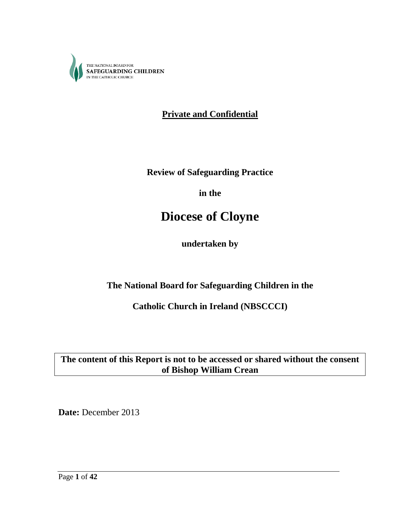

**Private and Confidential**

**Review of Safeguarding Practice**

**in the**

# **Diocese of Cloyne**

**undertaken by**

**The National Board for Safeguarding Children in the**

**Catholic Church in Ireland (NBSCCCI)**

**The content of this Report is not to be accessed or shared without the consent of Bishop William Crean**

**Date:** December 2013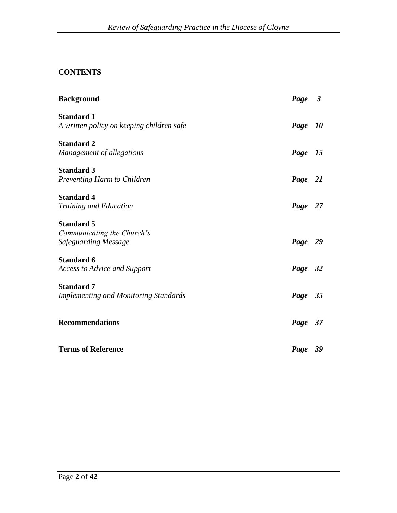## **CONTENTS**

| <b>Background</b>                                                       | Page 3  |           |
|-------------------------------------------------------------------------|---------|-----------|
| <b>Standard 1</b><br>A written policy on keeping children safe          | Page    | <i>10</i> |
| <b>Standard 2</b><br>Management of allegations                          | Page 15 |           |
| <b>Standard 3</b><br>Preventing Harm to Children                        | Page 21 |           |
| <b>Standard 4</b><br><b>Training and Education</b>                      | Page 27 |           |
| <b>Standard 5</b><br>Communicating the Church's<br>Safeguarding Message | Page 29 |           |
| <b>Standard 6</b><br><b>Access to Advice and Support</b>                | Page 32 |           |
| <b>Standard 7</b><br><b>Implementing and Monitoring Standards</b>       | Page 35 |           |
| <b>Recommendations</b>                                                  | Page 37 |           |
| <b>Terms of Reference</b>                                               | Page 39 |           |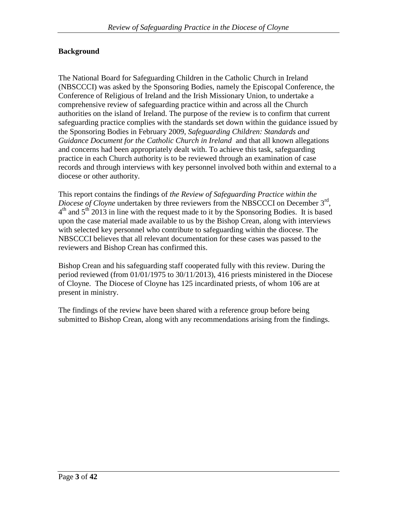## **Background**

The National Board for Safeguarding Children in the Catholic Church in Ireland (NBSCCCI) was asked by the Sponsoring Bodies, namely the Episcopal Conference, the Conference of Religious of Ireland and the Irish Missionary Union, to undertake a comprehensive review of safeguarding practice within and across all the Church authorities on the island of Ireland. The purpose of the review is to confirm that current safeguarding practice complies with the standards set down within the guidance issued by the Sponsoring Bodies in February 2009, *Safeguarding Children: Standards and Guidance Document for the Catholic Church in Ireland* and that all known allegations and concerns had been appropriately dealt with. To achieve this task, safeguarding practice in each Church authority is to be reviewed through an examination of case records and through interviews with key personnel involved both within and external to a diocese or other authority.

This report contains the findings of *the Review of Safeguarding Practice within the Diocese of Cloyne* undertaken by three reviewers from the NBSCCCI on December 3<sup>rd</sup>,  $4<sup>th</sup>$  and  $5<sup>th</sup>$  2013 in line with the request made to it by the Sponsoring Bodies. It is based upon the case material made available to us by the Bishop Crean, along with interviews with selected key personnel who contribute to safeguarding within the diocese. The NBSCCCI believes that all relevant documentation for these cases was passed to the reviewers and Bishop Crean has confirmed this.

Bishop Crean and his safeguarding staff cooperated fully with this review. During the period reviewed (from 01/01/1975 to 30/11/2013), 416 priests ministered in the Diocese of Cloyne. The Diocese of Cloyne has 125 incardinated priests, of whom 106 are at present in ministry.

The findings of the review have been shared with a reference group before being submitted to Bishop Crean, along with any recommendations arising from the findings.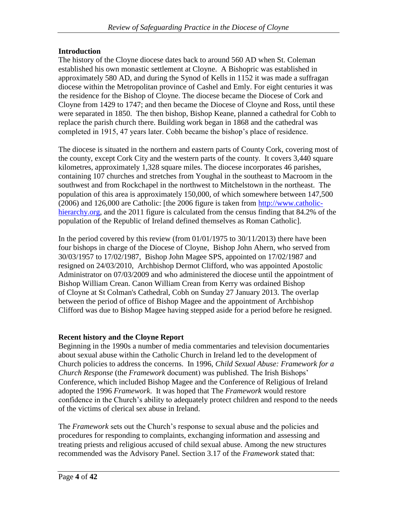## **Introduction**

The history of the Cloyne diocese dates back to around 560 AD when St. Coleman established his own monastic settlement at Cloyne. A Bishopric was established in approximately 580 AD, and during the Synod of Kells in 1152 it was made a suffragan diocese within the Metropolitan province of Cashel and Emly. For eight centuries it was the residence for the Bishop of Cloyne. The diocese became the Diocese of Cork and Cloyne from 1429 to 1747; and then became the Diocese of Cloyne and Ross, until these were separated in 1850. The then bishop, Bishop Keane, planned a cathedral for Cobh to replace the parish church there. Building work began in 1868 and the cathedral was completed in 1915, 47 years later. Cobh became the bishop"s place of residence.

The diocese is situated in the northern and eastern parts of County Cork, covering most of the county, except Cork City and the western parts of the county. It covers 3,440 square kilometres, approximately 1,328 square miles. The diocese incorporates 46 parishes, containing 107 churches and stretches from Youghal in the southeast to Macroom in the southwest and from Rockchapel in the northwest to Mitchelstown in the northeast. The population of this area is approximately 150,000, of which somewhere between 147,500 (2006) and 126,000 are Catholic: [the 2006 figure is taken from [http://www.catholic](http://www.catholic-hierarchy.org/)[hierarchy.org,](http://www.catholic-hierarchy.org/) and the 2011 figure is calculated from the census finding that 84.2% of the population of the Republic of Ireland defined themselves as Roman Catholic].

In the period covered by this review (from  $01/01/1975$  to  $30/11/2013$ ) there have been four bishops in charge of the Diocese of Cloyne, Bishop John Ahern, who served from 30/03/1957 to 17/02/1987, Bishop John Magee SPS, appointed on 17/02/1987 and resigned on 24/03/2010, Archbishop Dermot Clifford, who was appointed Apostolic Administrator on 07/03/2009 and who administered the diocese until the appointment of Bishop William Crean. Canon William Crean from Kerry was ordained Bishop of Cloyne at St Colman's Cathedral, Cobh on Sunday 27 January 2013. The overlap between the period of office of Bishop Magee and the appointment of Archbishop Clifford was due to Bishop Magee having stepped aside for a period before he resigned.

#### **Recent history and the Cloyne Report**

Beginning in the 1990s a number of media commentaries and television documentaries about sexual abuse within the Catholic Church in Ireland led to the development of Church policies to address the concerns. In 1996, *Child Sexual Abuse: Framework for a Church Response* (the *Framework* document) was published. The Irish Bishops" Conference, which included Bishop Magee and the Conference of Religious of Ireland adopted the 1996 *Framework*. It was hoped that The *Framework* would restore confidence in the Church"s ability to adequately protect children and respond to the needs of the victims of clerical sex abuse in Ireland.

The *Framework* sets out the Church"s response to sexual abuse and the policies and procedures for responding to complaints, exchanging information and assessing and treating priests and religious accused of child sexual abuse. Among the new structures recommended was the Advisory Panel. Section 3.17 of the *Framework* stated that: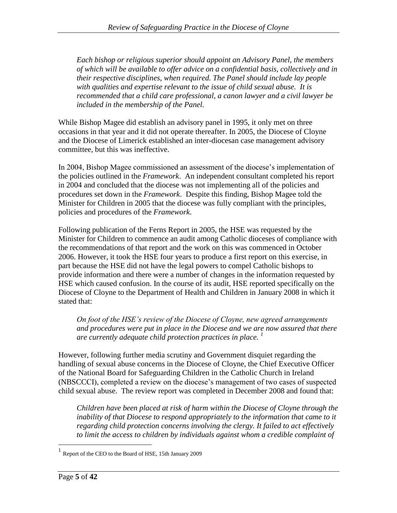*Each bishop or religious superior should appoint an Advisory Panel, the members of which will be available to offer advice on a confidential basis, collectively and in their respective disciplines, when required. The Panel should include lay people with qualities and expertise relevant to the issue of child sexual abuse. It is recommended that a child care professional, a canon lawyer and a civil lawyer be included in the membership of the Panel.* 

While Bishop Magee did establish an advisory panel in 1995, it only met on three occasions in that year and it did not operate thereafter. In 2005, the Diocese of Cloyne and the Diocese of Limerick established an inter-diocesan case management advisory committee, but this was ineffective.

In 2004, Bishop Magee commissioned an assessment of the diocese"s implementation of the policies outlined in the *Framework*. An independent consultant completed his report in 2004 and concluded that the diocese was not implementing all of the policies and procedures set down in the *Framework*. Despite this finding, Bishop Magee told the Minister for Children in 2005 that the diocese was fully compliant with the principles, policies and procedures of the *Framework*.

Following publication of the Ferns Report in 2005, the HSE was requested by the Minister for Children to commence an audit among Catholic dioceses of compliance with the recommendations of that report and the work on this was commenced in October 2006. However, it took the HSE four years to produce a first report on this exercise, in part because the HSE did not have the legal powers to compel Catholic bishops to provide information and there were a number of changes in the information requested by HSE which caused confusion. In the course of its audit, HSE reported specifically on the Diocese of Cloyne to the Department of Health and Children in January 2008 in which it stated that:

*On foot of the HSE's review of the Diocese of Cloyne, new agreed arrangements and procedures were put in place in the Diocese and we are now assured that there are currently adequate child protection practices in place. <sup>1</sup>*

However, following further media scrutiny and Government disquiet regarding the handling of sexual abuse concerns in the Diocese of Cloyne, the Chief Executive Officer of the National Board for Safeguarding Children in the Catholic Church in Ireland (NBSCCCI), completed a review on the diocese"s management of two cases of suspected child sexual abuse. The review report was completed in December 2008 and found that:

*Children have been placed at risk of harm within the Diocese of Cloyne through the inability of that Diocese to respond appropriately to the information that came to it regarding child protection concerns involving the clergy. It failed to act effectively*  to limit the access to children by individuals against whom a credible complaint of

<sup>1</sup> Report of the CEO to the Board of HSE, 15th January 2009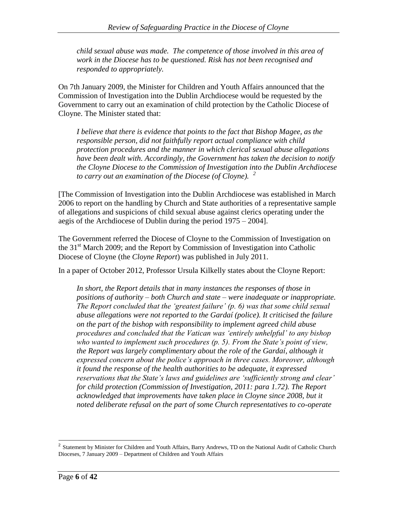*child sexual abuse was made. The competence of those involved in this area of work in the Diocese has to be questioned. Risk has not been recognised and responded to appropriately.* 

On 7th January 2009, the Minister for Children and Youth Affairs announced that the Commission of Investigation into the Dublin Archdiocese would be requested by the Government to carry out an examination of child protection by the Catholic Diocese of Cloyne. The Minister stated that:

*I believe that there is evidence that points to the fact that Bishop Magee, as the responsible person, did not faithfully report actual compliance with child protection procedures and the manner in which clerical sexual abuse allegations have been dealt with. Accordingly, the Government has taken the decision to notify the Cloyne Diocese to the Commission of Investigation into the Dublin Archdiocese to carry out an examination of the Diocese (of Cloyne). <sup>2</sup>*

[The Commission of Investigation into the Dublin Archdiocese was established in March 2006 to report on the handling by Church and State authorities of a representative sample of allegations and suspicions of child sexual abuse against clerics operating under the aegis of the Archdiocese of Dublin during the period 1975 – 2004].

The Government referred the Diocese of Cloyne to the Commission of Investigation on the  $31<sup>st</sup>$  March 2009; and the Report by Commission of Investigation into Catholic Diocese of Cloyne (the *Cloyne Report*) was published in July 2011.

In a paper of October 2012, Professor Ursula Kilkelly states about the Cloyne Report:

In short, the Report details that in many instances the responses of those in *positions of authority – both Church and state – were inadequate or inappropriate. The Report concluded that the 'greatest failure' (p. 6) was that some child sexual abuse allegations were not reported to the Gardaí (police). It criticised the failure on the part of the bishop with responsibility to implement agreed child abuse procedures and concluded that the Vatican was 'entirely unhelpful' to any bishop who wanted to implement such procedures (p. 5). From the State's point of view, the Report was largely complimentary about the role of the Gardaí, although it expressed concern about the police's approach in three cases. Moreover, although it found the response of the health authorities to be adequate, it expressed reservations that the State's laws and guidelines are 'sufficiently strong and clear' for child protection (Commission of Investigation, 2011: para 1.72). The Report*  acknowledged that improvements have taken place in Cloyne since 2008, but it *noted deliberate refusal on the part of some Church representatives to co-operate* 

<sup>&</sup>lt;sup>2</sup> Statement by Minister for Children and Youth Affairs, Barry Andrews, TD on the National Audit of Catholic Church Dioceses, 7 January 2009 – Department of Children and Youth Affairs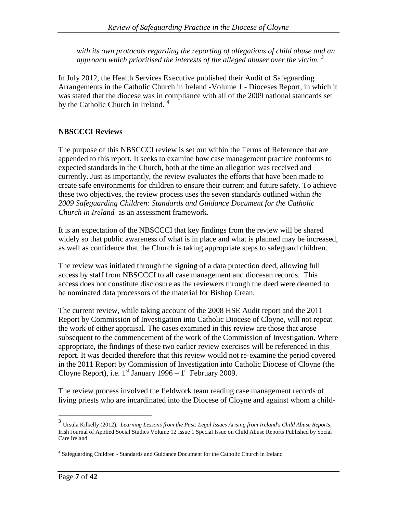*with its own protocols regarding the reporting of allegations of child abuse and an approach which prioritised the interests of the alleged abuser over the victim. <sup>3</sup>*

In July 2012, the Health Services Executive published their Audit of Safeguarding Arrangements in the Catholic Church in Ireland -Volume 1 - Dioceses Report, in which it was stated that the diocese was in compliance with all of the 2009 national standards set by the Catholic Church in Ireland.<sup>4</sup>

## **NBSCCCI Reviews**

The purpose of this NBSCCCI review is set out within the Terms of Reference that are appended to this report. It seeks to examine how case management practice conforms to expected standards in the Church, both at the time an allegation was received and currently. Just as importantly, the review evaluates the efforts that have been made to create safe environments for children to ensure their current and future safety. To achieve these two objectives, the review process uses the seven standards outlined within *the 2009 Safeguarding Children: Standards and Guidance Document for the Catholic Church in Ireland* as an assessment framework.

It is an expectation of the NBSCCCI that key findings from the review will be shared widely so that public awareness of what is in place and what is planned may be increased, as well as confidence that the Church is taking appropriate steps to safeguard children.

The review was initiated through the signing of a data protection deed, allowing full access by staff from NBSCCCI to all case management and diocesan records. This access does not constitute disclosure as the reviewers through the deed were deemed to be nominated data processors of the material for Bishop Crean.

The current review, while taking account of the 2008 HSE Audit report and the 2011 Report by Commission of Investigation into Catholic Diocese of Cloyne, will not repeat the work of either appraisal. The cases examined in this review are those that arose subsequent to the commencement of the work of the Commission of Investigation. Where appropriate, the findings of these two earlier review exercises will be referenced in this report. It was decided therefore that this review would not re-examine the period covered in the 2011 Report by Commission of Investigation into Catholic Diocese of Cloyne (the Cloyne Report), i.e.  $1^{st}$  January 1996 –  $1^{st}$  February 2009.

The review process involved the fieldwork team reading case management records of living priests who are incardinated into the Diocese of Cloyne and against whom a child-

<sup>3</sup> Ursula Kilkelly (2012). *Learning Lessons from the Past: Legal Issues Arising from Ireland's Child Abuse Reports*, Irish Journal of Applied Social Studies Volume 12 Issue 1 Special Issue on Child Abuse Reports Published by Social Care Ireland

<sup>&</sup>lt;sup>4</sup> Safeguarding Children - Standards and Guidance Document for the Catholic Church in Ireland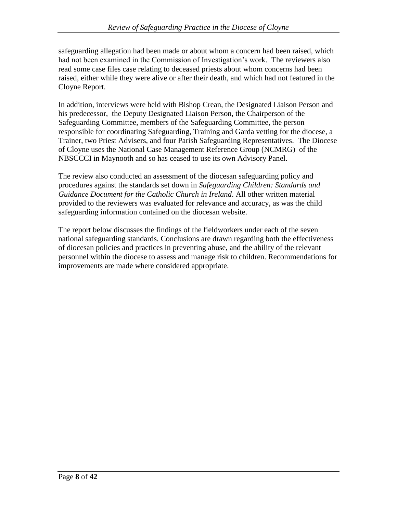safeguarding allegation had been made or about whom a concern had been raised, which had not been examined in the Commission of Investigation"s work. The reviewers also read some case files case relating to deceased priests about whom concerns had been raised, either while they were alive or after their death, and which had not featured in the Cloyne Report.

In addition, interviews were held with Bishop Crean, the Designated Liaison Person and his predecessor, the Deputy Designated Liaison Person, the Chairperson of the Safeguarding Committee, members of the Safeguarding Committee, the person responsible for coordinating Safeguarding, Training and Garda vetting for the diocese, a Trainer, two Priest Advisers, and four Parish Safeguarding Representatives. The Diocese of Cloyne uses the National Case Management Reference Group (NCMRG) of the NBSCCCI in Maynooth and so has ceased to use its own Advisory Panel.

The review also conducted an assessment of the diocesan safeguarding policy and procedures against the standards set down in *Safeguarding Children: Standards and Guidance Document for the Catholic Church in Ireland*. All other written material provided to the reviewers was evaluated for relevance and accuracy, as was the child safeguarding information contained on the diocesan website.

The report below discusses the findings of the fieldworkers under each of the seven national safeguarding standards. Conclusions are drawn regarding both the effectiveness of diocesan policies and practices in preventing abuse, and the ability of the relevant personnel within the diocese to assess and manage risk to children. Recommendations for improvements are made where considered appropriate.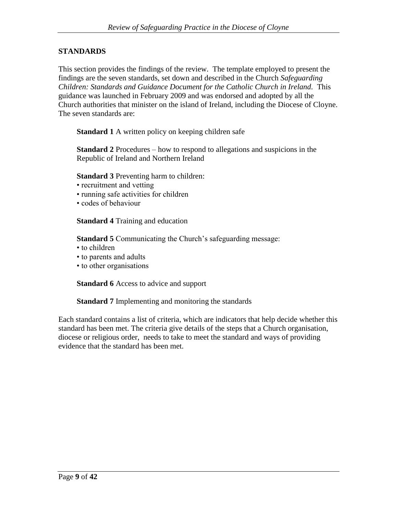## **STANDARDS**

This section provides the findings of the review. The template employed to present the findings are the seven standards, set down and described in the Church *Safeguarding Children: Standards and Guidance Document for the Catholic Church in Ireland.* This guidance was launched in February 2009 and was endorsed and adopted by all the Church authorities that minister on the island of Ireland, including the Diocese of Cloyne. The seven standards are:

**Standard 1** A written policy on keeping children safe

**Standard 2** Procedures – how to respond to allegations and suspicions in the Republic of Ireland and Northern Ireland

**Standard 3** Preventing harm to children:

- recruitment and vetting
- running safe activities for children
- codes of behaviour

**Standard 4** Training and education

**Standard 5** Communicating the Church's safeguarding message:

- to children
- to parents and adults
- to other organisations

**Standard 6** Access to advice and support

**Standard 7** Implementing and monitoring the standards

Each standard contains a list of criteria, which are indicators that help decide whether this standard has been met. The criteria give details of the steps that a Church organisation, diocese or religious order, needs to take to meet the standard and ways of providing evidence that the standard has been met.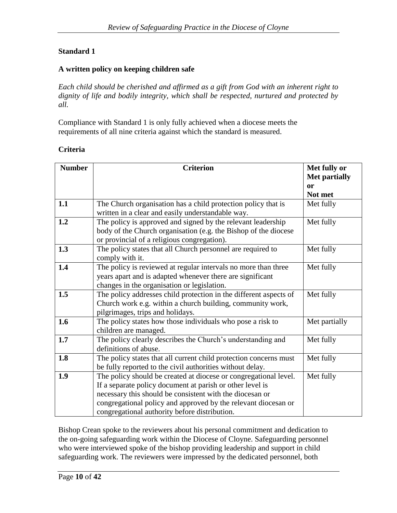## **Standard 1**

#### **A written policy on keeping children safe**

*Each child should be cherished and affirmed as a gift from God with an inherent right to dignity of life and bodily integrity, which shall be respected, nurtured and protected by all.*

Compliance with Standard 1 is only fully achieved when a diocese meets the requirements of all nine criteria against which the standard is measured.

#### **Criteria**

| <b>Number</b> | <b>Criterion</b>                                                                                                   | Met fully or         |
|---------------|--------------------------------------------------------------------------------------------------------------------|----------------------|
|               |                                                                                                                    | <b>Met partially</b> |
|               |                                                                                                                    | or                   |
| 1.1           |                                                                                                                    | Not met              |
|               | The Church organisation has a child protection policy that is<br>written in a clear and easily understandable way. | Met fully            |
| 1.2           | The policy is approved and signed by the relevant leadership                                                       | Met fully            |
|               | body of the Church organisation (e.g. the Bishop of the diocese<br>or provincial of a religious congregation).     |                      |
| 1.3           | The policy states that all Church personnel are required to                                                        | Met fully            |
|               | comply with it.                                                                                                    |                      |
| 1.4           | The policy is reviewed at regular intervals no more than three                                                     | Met fully            |
|               | years apart and is adapted whenever there are significant                                                          |                      |
| 1.5           | changes in the organisation or legislation.<br>The policy addresses child protection in the different aspects of   | Met fully            |
|               | Church work e.g. within a church building, community work,                                                         |                      |
|               | pilgrimages, trips and holidays.                                                                                   |                      |
| 1.6           | The policy states how those individuals who pose a risk to                                                         | Met partially        |
|               | children are managed.                                                                                              |                      |
| 1.7           | The policy clearly describes the Church's understanding and                                                        | Met fully            |
|               | definitions of abuse.                                                                                              |                      |
| 1.8           | The policy states that all current child protection concerns must                                                  | Met fully            |
|               | be fully reported to the civil authorities without delay.                                                          |                      |
| 1.9           | The policy should be created at diocese or congregational level.                                                   | Met fully            |
|               | If a separate policy document at parish or other level is                                                          |                      |
|               | necessary this should be consistent with the diocesan or                                                           |                      |
|               | congregational policy and approved by the relevant diocesan or                                                     |                      |
|               | congregational authority before distribution.                                                                      |                      |

Bishop Crean spoke to the reviewers about his personal commitment and dedication to the on-going safeguarding work within the Diocese of Cloyne. Safeguarding personnel who were interviewed spoke of the bishop providing leadership and support in child safeguarding work. The reviewers were impressed by the dedicated personnel, both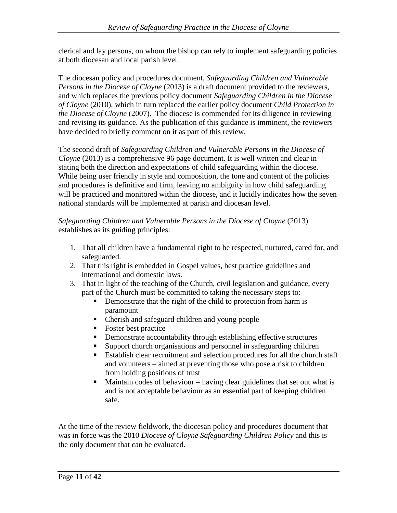clerical and lay persons, on whom the bishop can rely to implement safeguarding policies at both diocesan and local parish level.

The diocesan policy and procedures document, *Safeguarding Children and Vulnerable Persons in the Diocese of Cloyne* (2013) is a draft document provided to the reviewers, and which replaces the previous policy document *Safeguarding Children in the Diocese of Cloyne* (2010), which in turn replaced the earlier policy document *Child Protection in the Diocese of Cloyne* (2007). The diocese is commended for its diligence in reviewing and revising its guidance. As the publication of this guidance is imminent, the reviewers have decided to briefly comment on it as part of this review.

The second draft of *Safeguarding Children and Vulnerable Persons in the Diocese of Cloyne* (2013) is a comprehensive 96 page document. It is well written and clear in stating both the direction and expectations of child safeguarding within the diocese. While being user friendly in style and composition, the tone and content of the policies and procedures is definitive and firm, leaving no ambiguity in how child safeguarding will be practiced and monitored within the diocese, and it lucidly indicates how the seven national standards will be implemented at parish and diocesan level.

## *Safeguarding Children and Vulnerable Persons in the Diocese of Cloyne* (2013) establishes as its guiding principles:

- 1. That all children have a fundamental right to be respected, nurtured, cared for, and safeguarded.
- 2. That this right is embedded in Gospel values, best practice guidelines and international and domestic laws.
- 3. That in light of the teaching of the Church, civil legislation and guidance, every part of the Church must be committed to taking the necessary steps to:
	- Demonstrate that the right of the child to protection from harm is paramount
	- Cherish and safeguard children and young people
	- Foster best practice
	- **•** Demonstrate accountability through establishing effective structures
	- Support church organisations and personnel in safeguarding children
	- Establish clear recruitment and selection procedures for all the church staff and volunteers – aimed at preventing those who pose a risk to children from holding positions of trust
	- $\blacksquare$  Maintain codes of behaviour having clear guidelines that set out what is and is not acceptable behaviour as an essential part of keeping children safe.

At the time of the review fieldwork, the diocesan policy and procedures document that was in force was the 2010 *Diocese of Cloyne Safeguarding Children Policy* and this is the only document that can be evaluated.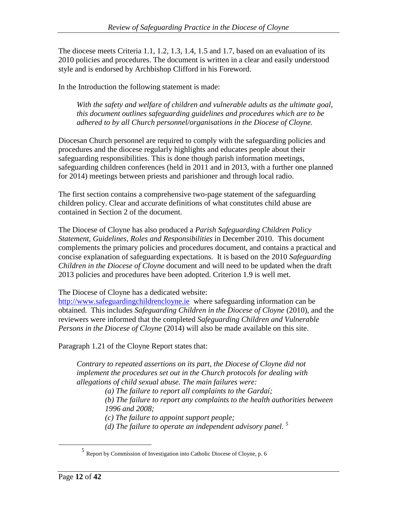The diocese meets Criteria 1.1, 1.2, 1.3, 1.4, 1.5 and 1.7, based on an evaluation of its 2010 policies and procedures. The document is written in a clear and easily understood style and is endorsed by Archbishop Clifford in his Foreword.

In the Introduction the following statement is made:

*With the safety and welfare of children and vulnerable adults as the ultimate goal, this document outlines safeguarding guidelines and procedures which are to be adhered to by all Church personnel/organisations in the Diocese of Cloyne.* 

Diocesan Church personnel are required to comply with the safeguarding policies and procedures and the diocese regularly highlights and educates people about their safeguarding responsibilities. This is done though parish information meetings, safeguarding children conferences (held in 2011 and in 2013, with a further one planned for 2014) meetings between priests and parishioner and through local radio.

The first section contains a comprehensive two-page statement of the safeguarding children policy. Clear and accurate definitions of what constitutes child abuse are contained in Section 2 of the document.

The Diocese of Cloyne has also produced a *Parish Safeguarding Children Policy Statement, Guidelines, Roles and Responsibilities* in December 2010. This document complements the primary policies and procedures document, and contains a practical and concise explanation of safeguarding expectations. It is based on the 2010 *Safeguarding Children in the Diocese of Cloyne* document and will need to be updated when the draft 2013 policies and procedures have been adopted. Criterion 1.9 is well met.

The Diocese of Cloyne has a dedicated website:

[http://www.safeguardingchildrencloyne.ie](http://www.safeguardingchildrencloyne.ie/) where safeguarding information can be obtained. This includes *Safeguarding Children in the Diocese of Cloyne* (2010), and the reviewers were informed that the completed *Safeguarding Children and Vulnerable Persons in the Diocese of Cloyne* (2014) will also be made available on this site.

Paragraph 1.21 of the Cloyne Report states that:

*Contrary to repeated assertions on its part, the Diocese of Cloyne did not implement the procedures set out in the Church protocols for dealing with allegations of child sexual abuse. The main failures were:*

*(a) The failure to report all complaints to the Gardaí;*

*(b) The failure to report any complaints to the health authorities between 1996 and 2008;*

*(c) The failure to appoint support people;*

*(d) The failure to operate an independent advisory panel. <sup>5</sup>*

<sup>5</sup> Report by Commission of Investigation into Catholic Diocese of Cloyne, p. 6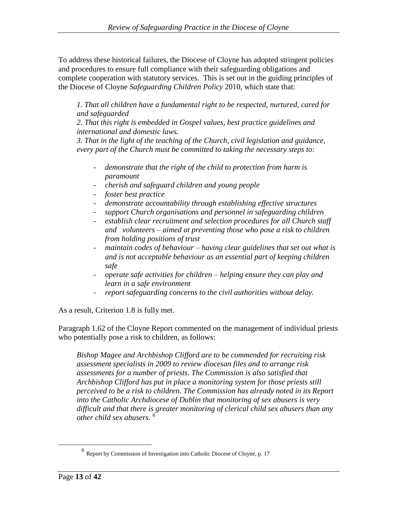To address these historical failures, the Diocese of Cloyne has adopted stringent policies and procedures to ensure full compliance with their safeguarding obligations and complete cooperation with statutory services. This is set out in the guiding principles of the Diocese of Cloyne *Safeguarding Children Policy* 2010, which state that:

*1. That all children have a fundamental right to be respected, nurtured, cared for and safeguarded* 

*2. That this right is embedded in Gospel values, best practice guidelines and international and domestic laws.* 

*3. That in the light of the teaching of the Church, civil legislation and guidance, every part of the Church must be committed to taking the necessary steps to:* 

- *demonstrate that the right of the child to protection from harm is paramount*
- *cherish and safeguard children and young people*
- *foster best practice*
- *demonstrate accountability through establishing effective structures*
- *support Church organisations and personnel in safeguarding children*
- *establish clear recruitment and selection procedures for all Church staff and volunteers – aimed at preventing those who pose a risk to children from holding positions of trust*
- *maintain codes of behaviour – having clear guidelines that set out what is and is not acceptable behaviour as an essential part of keeping children safe*
- *operate safe activities for children – helping ensure they can play and learn in a safe environment*
- *report safeguarding concerns to the civil authorities without delay.*

As a result, Criterion 1.8 is fully met.

Paragraph 1.62 of the Cloyne Report commented on the management of individual priests who potentially pose a risk to children, as follows:

*Bishop Magee and Archbishop Clifford are to be commended for recruiting risk assessment specialists in 2009 to review diocesan files and to arrange risk assessments for a number of priests. The Commission is also satisfied that Archbishop Clifford has put in place a monitoring system for those priests still perceived to be a risk to children. The Commission has already noted in its Report into the Catholic Archdiocese of Dublin that monitoring of sex abusers is very difficult and that there is greater monitoring of clerical child sex abusers than any other child sex abusers. <sup>6</sup>*

<sup>&</sup>lt;sup>6</sup> Report by Commission of Investigation into Catholic Diocese of Cloyne, p. 17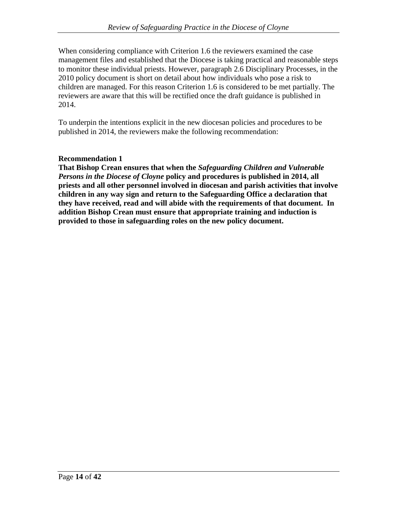When considering compliance with Criterion 1.6 the reviewers examined the case management files and established that the Diocese is taking practical and reasonable steps to monitor these individual priests. However, paragraph 2.6 Disciplinary Processes, in the 2010 policy document is short on detail about how individuals who pose a risk to children are managed. For this reason Criterion 1.6 is considered to be met partially. The reviewers are aware that this will be rectified once the draft guidance is published in 2014.

To underpin the intentions explicit in the new diocesan policies and procedures to be published in 2014, the reviewers make the following recommendation:

## **Recommendation 1**

**That Bishop Crean ensures that when the** *Safeguarding Children and Vulnerable Persons in the Diocese of Cloyne* **policy and procedures is published in 2014, all priests and all other personnel involved in diocesan and parish activities that involve children in any way sign and return to the Safeguarding Office a declaration that they have received, read and will abide with the requirements of that document. In addition Bishop Crean must ensure that appropriate training and induction is provided to those in safeguarding roles on the new policy document.**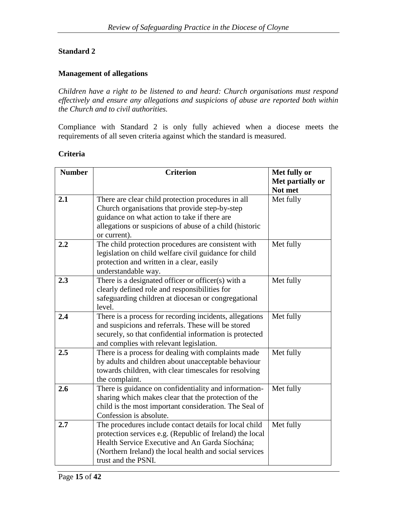#### **Standard 2**

#### **Management of allegations**

*Children have a right to be listened to and heard: Church organisations must respond effectively and ensure any allegations and suspicions of abuse are reported both within the Church and to civil authorities.*

Compliance with Standard 2 is only fully achieved when a diocese meets the requirements of all seven criteria against which the standard is measured.

#### **Criteria**

| <b>Number</b> | <b>Criterion</b>                                         | Met fully or<br>Met partially or |
|---------------|----------------------------------------------------------|----------------------------------|
|               |                                                          | Not met                          |
| 2.1           | There are clear child protection procedures in all       | Met fully                        |
|               | Church organisations that provide step-by-step           |                                  |
|               | guidance on what action to take if there are             |                                  |
|               | allegations or suspicions of abuse of a child (historic  |                                  |
|               | or current).                                             |                                  |
| 2.2           | The child protection procedures are consistent with      | Met fully                        |
|               | legislation on child welfare civil guidance for child    |                                  |
|               | protection and written in a clear, easily                |                                  |
|               | understandable way.                                      |                                  |
| 2.3           | There is a designated officer or officer(s) with a       | Met fully                        |
|               | clearly defined role and responsibilities for            |                                  |
|               | safeguarding children at diocesan or congregational      |                                  |
|               | level.                                                   |                                  |
| 2.4           | There is a process for recording incidents, allegations  | Met fully                        |
|               | and suspicions and referrals. These will be stored       |                                  |
|               | securely, so that confidential information is protected  |                                  |
|               | and complies with relevant legislation.                  |                                  |
| 2.5           | There is a process for dealing with complaints made      | Met fully                        |
|               | by adults and children about unacceptable behaviour      |                                  |
|               | towards children, with clear timescales for resolving    |                                  |
|               | the complaint.                                           |                                  |
| 2.6           | There is guidance on confidentiality and information-    | Met fully                        |
|               | sharing which makes clear that the protection of the     |                                  |
|               | child is the most important consideration. The Seal of   |                                  |
|               | Confession is absolute.                                  |                                  |
| 2.7           | The procedures include contact details for local child   | Met fully                        |
|               | protection services e.g. (Republic of Ireland) the local |                                  |
|               | Health Service Executive and An Garda Síochána;          |                                  |
|               | (Northern Ireland) the local health and social services  |                                  |
|               | trust and the PSNI.                                      |                                  |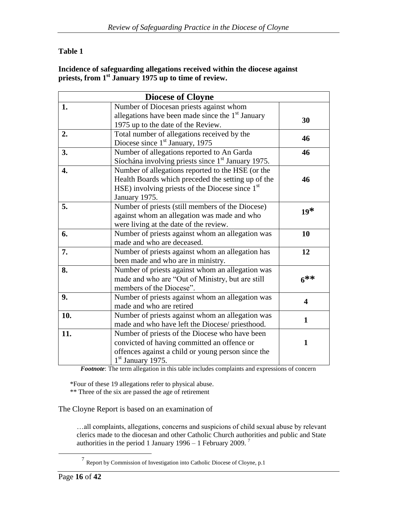## **Table 1**

#### **Incidence of safeguarding allegations received within the diocese against priests, from 1st January 1975 up to time of review.**

|     | <b>Diocese of Cloyne</b>                                       |                         |  |
|-----|----------------------------------------------------------------|-------------------------|--|
| 1.  | Number of Diocesan priests against whom                        |                         |  |
|     | allegations have been made since the $1st$ January             | 30                      |  |
|     | 1975 up to the date of the Review.                             |                         |  |
| 2.  | Total number of allegations received by the                    | 46                      |  |
|     | Diocese since $1st$ January, 1975                              |                         |  |
| 3.  | Number of allegations reported to An Garda                     | 46                      |  |
|     | Síochána involving priests since 1 <sup>st</sup> January 1975. |                         |  |
| 4.  | Number of allegations reported to the HSE (or the              |                         |  |
|     | Health Boards which preceded the setting up of the             | 46                      |  |
|     | HSE) involving priests of the Diocese since 1 <sup>st</sup>    |                         |  |
|     | January 1975.                                                  |                         |  |
| 5.  | Number of priests (still members of the Diocese)               |                         |  |
|     | against whom an allegation was made and who                    | $19*$                   |  |
|     | were living at the date of the review.                         |                         |  |
| 6.  | Number of priests against whom an allegation was               | 10                      |  |
|     | made and who are deceased.                                     |                         |  |
| 7.  | Number of priests against whom an allegation has               | 12                      |  |
|     | been made and who are in ministry.                             |                         |  |
| 8.  | Number of priests against whom an allegation was               |                         |  |
|     | made and who are "Out of Ministry, but are still               | $6***$                  |  |
|     | members of the Diocese".                                       |                         |  |
| 9.  | Number of priests against whom an allegation was               | $\overline{\mathbf{4}}$ |  |
|     | made and who are retired                                       |                         |  |
| 10. | Number of priests against whom an allegation was               | $\mathbf{1}$            |  |
|     | made and who have left the Diocese/ priesthood.                |                         |  |
| 11. | Number of priests of the Diocese who have been                 |                         |  |
|     | convicted of having committed an offence or                    | 1                       |  |
|     | offences against a child or young person since the             |                         |  |
|     | $1st$ January 1975.                                            |                         |  |

*Footnote*: The term allegation in this table includes complaints and expressions of concern

\*Four of these 19 allegations refer to physical abuse. \*\* Three of the six are passed the age of retirement

The Cloyne Report is based on an examination of

…all complaints, allegations, concerns and suspicions of child sexual abuse by relevant clerics made to the diocesan and other Catholic Church authorities and public and State authorities in the period 1 January 1996 – 1 February 2009.<sup>7</sup>

<sup>&</sup>lt;sup>7</sup> Report by Commission of Investigation into Catholic Diocese of Cloyne, p.1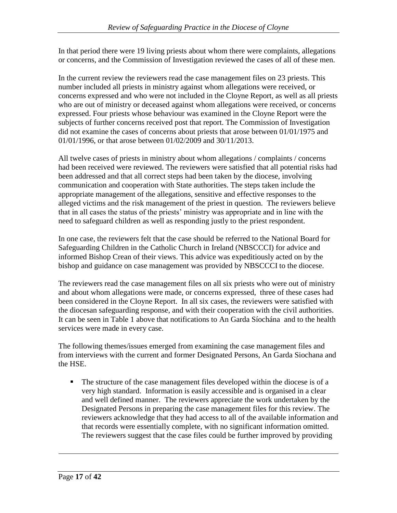In that period there were 19 living priests about whom there were complaints, allegations or concerns, and the Commission of Investigation reviewed the cases of all of these men.

In the current review the reviewers read the case management files on 23 priests. This number included all priests in ministry against whom allegations were received, or concerns expressed and who were not included in the Cloyne Report, as well as all priests who are out of ministry or deceased against whom allegations were received, or concerns expressed. Four priests whose behaviour was examined in the Cloyne Report were the subjects of further concerns received post that report. The Commission of Investigation did not examine the cases of concerns about priests that arose between 01/01/1975 and 01/01/1996, or that arose between 01/02/2009 and 30/11/2013.

All twelve cases of priests in ministry about whom allegations / complaints / concerns had been received were reviewed. The reviewers were satisfied that all potential risks had been addressed and that all correct steps had been taken by the diocese, involving communication and cooperation with State authorities. The steps taken include the appropriate management of the allegations, sensitive and effective responses to the alleged victims and the risk management of the priest in question. The reviewers believe that in all cases the status of the priests" ministry was appropriate and in line with the need to safeguard children as well as responding justly to the priest respondent.

In one case, the reviewers felt that the case should be referred to the National Board for Safeguarding Children in the Catholic Church in Ireland (NBSCCCI) for advice and informed Bishop Crean of their views. This advice was expeditiously acted on by the bishop and guidance on case management was provided by NBSCCCI to the diocese.

The reviewers read the case management files on all six priests who were out of ministry and about whom allegations were made, or concerns expressed, three of these cases had been considered in the Cloyne Report. In all six cases, the reviewers were satisfied with the diocesan safeguarding response, and with their cooperation with the civil authorities. It can be seen in Table 1 above that notifications to An Garda Síochána and to the health services were made in every case.

The following themes/issues emerged from examining the case management files and from interviews with the current and former Designated Persons, An Garda Siochana and the HSE.

The structure of the case management files developed within the diocese is of a very high standard. Information is easily accessible and is organised in a clear and well defined manner. The reviewers appreciate the work undertaken by the Designated Persons in preparing the case management files for this review. The reviewers acknowledge that they had access to all of the available information and that records were essentially complete, with no significant information omitted. The reviewers suggest that the case files could be further improved by providing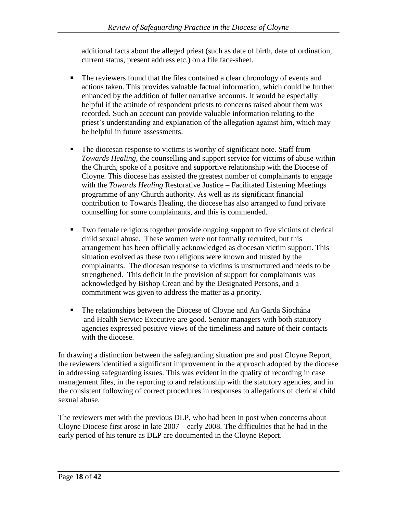additional facts about the alleged priest (such as date of birth, date of ordination, current status, present address etc.) on a file face-sheet.

- The reviewers found that the files contained a clear chronology of events and actions taken. This provides valuable factual information, which could be further enhanced by the addition of fuller narrative accounts. It would be especially helpful if the attitude of respondent priests to concerns raised about them was recorded. Such an account can provide valuable information relating to the priest"s understanding and explanation of the allegation against him, which may be helpful in future assessments.
- The diocesan response to victims is worthy of significant note. Staff from *Towards Healing*, the counselling and support service for victims of abuse within the Church, spoke of a positive and supportive relationship with the Diocese of Cloyne. This diocese has assisted the greatest number of complainants to engage with the *Towards Healing* Restorative Justice – Facilitated Listening Meetings programme of any Church authority. As well as its significant financial contribution to Towards Healing, the diocese has also arranged to fund private counselling for some complainants, and this is commended.
- Two female religious together provide ongoing support to five victims of clerical child sexual abuse. These women were not formally recruited, but this arrangement has been officially acknowledged as diocesan victim support. This situation evolved as these two religious were known and trusted by the complainants. The diocesan response to victims is unstructured and needs to be strengthened. This deficit in the provision of support for complainants was acknowledged by Bishop Crean and by the Designated Persons, and a commitment was given to address the matter as a priority.
- The relationships between the Diocese of Cloyne and An Garda Síochána and Health Service Executive are good. Senior managers with both statutory agencies expressed positive views of the timeliness and nature of their contacts with the diocese.

In drawing a distinction between the safeguarding situation pre and post Cloyne Report, the reviewers identified a significant improvement in the approach adopted by the diocese in addressing safeguarding issues. This was evident in the quality of recording in case management files, in the reporting to and relationship with the statutory agencies, and in the consistent following of correct procedures in responses to allegations of clerical child sexual abuse.

The reviewers met with the previous DLP, who had been in post when concerns about Cloyne Diocese first arose in late 2007 – early 2008. The difficulties that he had in the early period of his tenure as DLP are documented in the Cloyne Report.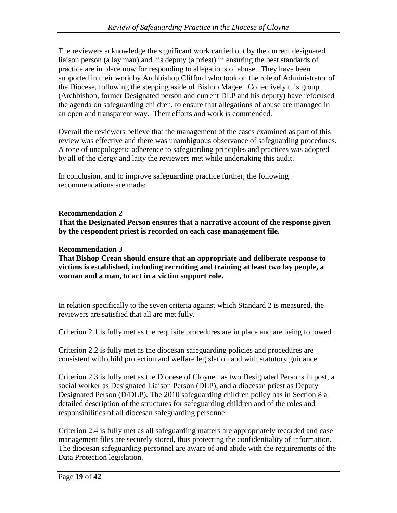The reviewers acknowledge the significant work carried out by the current designated liaison person (a lay man) and his deputy (a priest) in ensuring the best standards of practice are in place now for responding to allegations of abuse. They have been supported in their work by Archbishop Clifford who took on the role of Administrator of the Diocese, following the stepping aside of Bishop Magee. Collectively this group (Archbishop, former Designated person and current DLP and his deputy) have refocused the agenda on safeguarding children, to ensure that allegations of abuse are managed in an open and transparent way. Their efforts and work is commended.

Overall the reviewers believe that the management of the cases examined as part of this review was effective and there was unambiguous observance of safeguarding procedures. A tone of unapologetic adherence to safeguarding principles and practices was adopted by all of the clergy and laity the reviewers met while undertaking this audit.

In conclusion, and to improve safeguarding practice further, the following recommendations are made;

## **Recommendation 2**

**That the Designated Person ensures that a narrative account of the response given by the respondent priest is recorded on each case management file.** 

## **Recommendation 3**

**That Bishop Crean should ensure that an appropriate and deliberate response to victims is established, including recruiting and training at least two lay people, a woman and a man, to act in a victim support role.** 

In relation specifically to the seven criteria against which Standard 2 is measured, the reviewers are satisfied that all are met fully.

Criterion 2.1 is fully met as the requisite procedures are in place and are being followed.

Criterion 2.2 is fully met as the diocesan safeguarding policies and procedures are consistent with child protection and welfare legislation and with statutory guidance.

Criterion 2.3 is fully met as the Diocese of Cloyne has two Designated Persons in post, a social worker as Designated Liaison Person (DLP), and a diocesan priest as Deputy Designated Person (D/DLP). The 2010 safeguarding children policy has in Section 8 a detailed description of the structures for safeguarding children and of the roles and responsibilities of all diocesan safeguarding personnel.

Criterion 2.4 is fully met as all safeguarding matters are appropriately recorded and case management files are securely stored, thus protecting the confidentiality of information. The diocesan safeguarding personnel are aware of and abide with the requirements of the Data Protection legislation.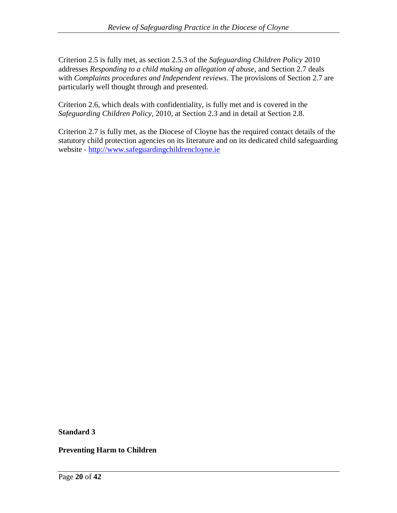Criterion 2.5 is fully met, as section 2.5.3 of the *Safeguarding Children Policy* 2010 addresses *Responding to a child making an allegation of abuse*, and Section 2.7 deals with *Complaints procedures and Independent reviews*. The provisions of Section 2.7 are particularly well thought through and presented.

Criterion 2.6, which deals with confidentiality, is fully met and is covered in the *Safeguarding Children Policy*, 2010, at Section 2.3 and in detail at Section 2.8.

Criterion 2.7 is fully met, as the Diocese of Cloyne has the required contact details of the statutory child protection agencies on its literature and on its dedicated child safeguarding website - [http://www.safeguardingchildrencloyne.ie](http://www.safeguardingchildrencloyne.ie/)

**Standard 3**

**Preventing Harm to Children**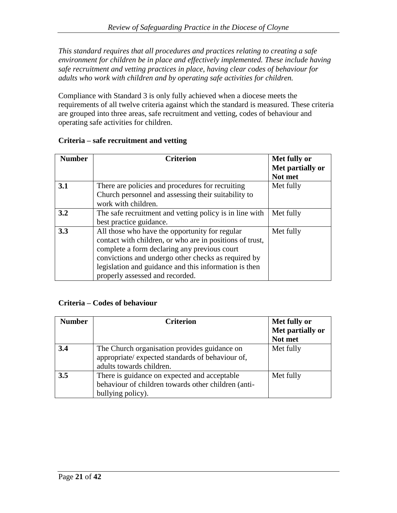*This standard requires that all procedures and practices relating to creating a safe environment for children be in place and effectively implemented. These include having safe recruitment and vetting practices in place, having clear codes of behaviour for adults who work with children and by operating safe activities for children.*

Compliance with Standard 3 is only fully achieved when a diocese meets the requirements of all twelve criteria against which the standard is measured. These criteria are grouped into three areas, safe recruitment and vetting, codes of behaviour and operating safe activities for children.

| <b>Number</b> | <b>Criterion</b>                                         | Met fully or     |
|---------------|----------------------------------------------------------|------------------|
|               |                                                          | Met partially or |
|               |                                                          | Not met          |
| 3.1           | There are policies and procedures for recruiting         | Met fully        |
|               | Church personnel and assessing their suitability to      |                  |
|               | work with children.                                      |                  |
| 3.2           | The safe recruitment and vetting policy is in line with  | Met fully        |
|               | best practice guidance.                                  |                  |
| 3.3           | All those who have the opportunity for regular           | Met fully        |
|               | contact with children, or who are in positions of trust, |                  |
|               | complete a form declaring any previous court             |                  |
|               | convictions and undergo other checks as required by      |                  |
|               | legislation and guidance and this information is then    |                  |
|               | properly assessed and recorded.                          |                  |

## **Criteria – safe recruitment and vetting**

## **Criteria – Codes of behaviour**

| <b>Number</b> | <b>Criterion</b>                                                                                                             | Met fully or<br>Met partially or<br>Not met |
|---------------|------------------------------------------------------------------------------------------------------------------------------|---------------------------------------------|
| 3.4           | The Church organisation provides guidance on<br>appropriate/ expected standards of behaviour of,<br>adults towards children. | Met fully                                   |
| 3.5           | There is guidance on expected and acceptable<br>behaviour of children towards other children (anti-<br>bullying policy).     | Met fully                                   |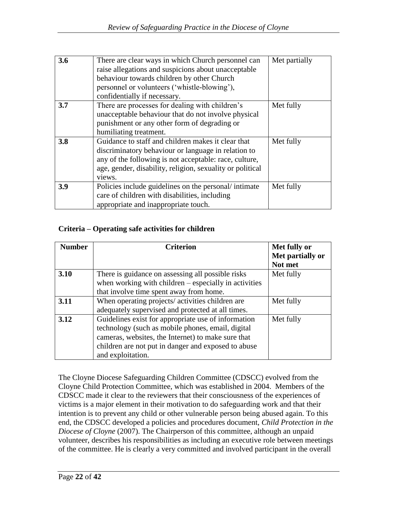| 3.6 | There are clear ways in which Church personnel can<br>raise allegations and suspicions about unacceptable<br>behaviour towards children by other Church<br>personnel or volunteers ('whistle-blowing'),<br>confidentially if necessary.    | Met partially |
|-----|--------------------------------------------------------------------------------------------------------------------------------------------------------------------------------------------------------------------------------------------|---------------|
| 3.7 | There are processes for dealing with children's<br>unacceptable behaviour that do not involve physical<br>punishment or any other form of degrading or<br>humiliating treatment.                                                           | Met fully     |
| 3.8 | Guidance to staff and children makes it clear that<br>discriminatory behaviour or language in relation to<br>any of the following is not acceptable: race, culture,<br>age, gender, disability, religion, sexuality or political<br>views. | Met fully     |
| 3.9 | Policies include guidelines on the personal/intimate<br>care of children with disabilities, including<br>appropriate and inappropriate touch.                                                                                              | Met fully     |

#### **Criteria – Operating safe activities for children**

| <b>Number</b> | <b>Criterion</b>                                        | Met fully or     |
|---------------|---------------------------------------------------------|------------------|
|               |                                                         | Met partially or |
|               |                                                         | Not met          |
| 3.10          | There is guidance on assessing all possible risks       | Met fully        |
|               | when working with children $-$ especially in activities |                  |
|               | that involve time spent away from home.                 |                  |
| 3.11          | When operating projects/ activities children are        | Met fully        |
|               | adequately supervised and protected at all times.       |                  |
| 3.12          | Guidelines exist for appropriate use of information     | Met fully        |
|               | technology (such as mobile phones, email, digital       |                  |
|               | cameras, websites, the Internet) to make sure that      |                  |
|               | children are not put in danger and exposed to abuse     |                  |
|               | and exploitation.                                       |                  |

The Cloyne Diocese Safeguarding Children Committee (CDSCC) evolved from the Cloyne Child Protection Committee, which was established in 2004. Members of the CDSCC made it clear to the reviewers that their consciousness of the experiences of victims is a major element in their motivation to do safeguarding work and that their intention is to prevent any child or other vulnerable person being abused again. To this end, the CDSCC developed a policies and procedures document, *Child Protection in the Diocese of Cloyne* (2007). The Chairperson of this committee, although an unpaid volunteer, describes his responsibilities as including an executive role between meetings of the committee. He is clearly a very committed and involved participant in the overall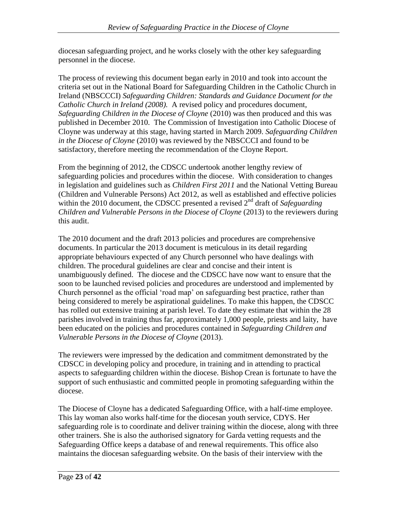diocesan safeguarding project, and he works closely with the other key safeguarding personnel in the diocese.

The process of reviewing this document began early in 2010 and took into account the criteria set out in the National Board for Safeguarding Children in the Catholic Church in Ireland (NBSCCCI) *Safeguarding Children: Standards and Guidance Document for the Catholic Church in Ireland (2008).* A revised policy and procedures document, *Safeguarding Children in the Diocese of Cloyne* (2010) was then produced and this was published in December 2010. The Commission of Investigation into Catholic Diocese of Cloyne was underway at this stage, having started in March 2009. *Safeguarding Children in the Diocese of Cloyne* (2010) was reviewed by the NBSCCCI and found to be satisfactory, therefore meeting the recommendation of the Cloyne Report.

From the beginning of 2012, the CDSCC undertook another lengthy review of safeguarding policies and procedures within the diocese. With consideration to changes in legislation and guidelines such as *Children First 2011* and the National Vetting Bureau (Children and Vulnerable Persons) Act 2012, as well as established and effective policies within the 2010 document, the CDSCC presented a revised 2<sup>nd</sup> draft of *Safeguarding Children and Vulnerable Persons in the Diocese of Cloyne* (2013) to the reviewers during this audit.

The 2010 document and the draft 2013 policies and procedures are comprehensive documents. In particular the 2013 document is meticulous in its detail regarding appropriate behaviours expected of any Church personnel who have dealings with children. The procedural guidelines are clear and concise and their intent is unambiguously defined. The diocese and the CDSCC have now want to ensure that the soon to be launched revised policies and procedures are understood and implemented by Church personnel as the official "road map" on safeguarding best practice, rather than being considered to merely be aspirational guidelines. To make this happen, the CDSCC has rolled out extensive training at parish level. To date they estimate that within the 28 parishes involved in training thus far, approximately 1,000 people, priests and laity, have been educated on the policies and procedures contained in *Safeguarding Children and Vulnerable Persons in the Diocese of Cloyne* (2013).

The reviewers were impressed by the dedication and commitment demonstrated by the CDSCC in developing policy and procedure, in training and in attending to practical aspects to safeguarding children within the diocese. Bishop Crean is fortunate to have the support of such enthusiastic and committed people in promoting safeguarding within the diocese.

The Diocese of Cloyne has a dedicated Safeguarding Office, with a half-time employee. This lay woman also works half-time for the diocesan youth service, CDYS. Her safeguarding role is to coordinate and deliver training within the diocese, along with three other trainers. She is also the authorised signatory for Garda vetting requests and the Safeguarding Office keeps a database of and renewal requirements. This office also maintains the diocesan safeguarding website. On the basis of their interview with the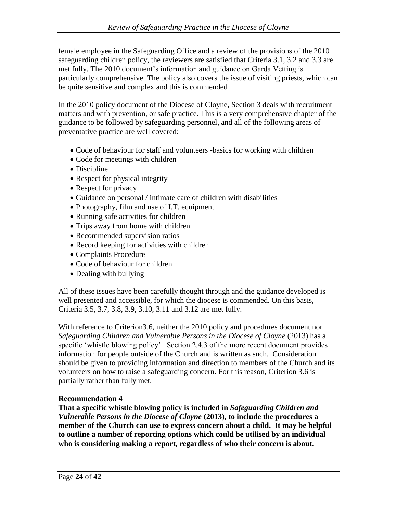female employee in the Safeguarding Office and a review of the provisions of the 2010 safeguarding children policy, the reviewers are satisfied that Criteria 3.1, 3.2 and 3.3 are met fully. The 2010 document's information and guidance on Garda Vetting is particularly comprehensive. The policy also covers the issue of visiting priests, which can be quite sensitive and complex and this is commended

In the 2010 policy document of the Diocese of Cloyne, Section 3 deals with recruitment matters and with prevention, or safe practice. This is a very comprehensive chapter of the guidance to be followed by safeguarding personnel, and all of the following areas of preventative practice are well covered:

- Code of behaviour for staff and volunteers -basics for working with children
- Code for meetings with children
- Discipline
- Respect for physical integrity
- Respect for privacy
- Guidance on personal / intimate care of children with disabilities
- Photography, film and use of I.T. equipment
- Running safe activities for children
- Trips away from home with children
- Recommended supervision ratios
- Record keeping for activities with children
- Complaints Procedure
- Code of behaviour for children
- Dealing with bullying

All of these issues have been carefully thought through and the guidance developed is well presented and accessible, for which the diocese is commended. On this basis, Criteria 3.5, 3.7, 3.8, 3.9, 3.10, 3.11 and 3.12 are met fully.

With reference to Criterion3.6, neither the 2010 policy and procedures document nor *Safeguarding Children and Vulnerable Persons in the Diocese of Cloyne* (2013) has a specific 'whistle blowing policy'. Section 2.4.3 of the more recent document provides information for people outside of the Church and is written as such. Consideration should be given to providing information and direction to members of the Church and its volunteers on how to raise a safeguarding concern. For this reason, Criterion 3.6 is partially rather than fully met.

#### **Recommendation 4**

**That a specific whistle blowing policy is included in** *Safeguarding Children and Vulnerable Persons in the Diocese of Cloyne* **(2013), to include the procedures a member of the Church can use to express concern about a child. It may be helpful to outline a number of reporting options which could be utilised by an individual who is considering making a report, regardless of who their concern is about.**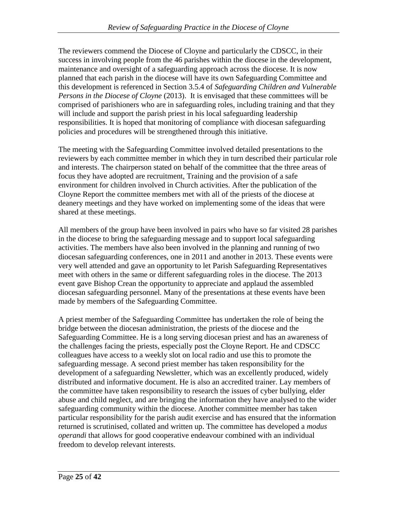The reviewers commend the Diocese of Cloyne and particularly the CDSCC, in their success in involving people from the 46 parishes within the diocese in the development, maintenance and oversight of a safeguarding approach across the diocese. It is now planned that each parish in the diocese will have its own Safeguarding Committee and this development is referenced in Section 3.5.4 of *Safeguarding Children and Vulnerable Persons in the Diocese of Cloyne* (2013). It is envisaged that these committees will be comprised of parishioners who are in safeguarding roles, including training and that they will include and support the parish priest in his local safeguarding leadership responsibilities. It is hoped that monitoring of compliance with diocesan safeguarding policies and procedures will be strengthened through this initiative.

The meeting with the Safeguarding Committee involved detailed presentations to the reviewers by each committee member in which they in turn described their particular role and interests. The chairperson stated on behalf of the committee that the three areas of focus they have adopted are recruitment, Training and the provision of a safe environment for children involved in Church activities. After the publication of the Cloyne Report the committee members met with all of the priests of the diocese at deanery meetings and they have worked on implementing some of the ideas that were shared at these meetings.

All members of the group have been involved in pairs who have so far visited 28 parishes in the diocese to bring the safeguarding message and to support local safeguarding activities. The members have also been involved in the planning and running of two diocesan safeguarding conferences, one in 2011 and another in 2013. These events were very well attended and gave an opportunity to let Parish Safeguarding Representatives meet with others in the same or different safeguarding roles in the diocese. The 2013 event gave Bishop Crean the opportunity to appreciate and applaud the assembled diocesan safeguarding personnel. Many of the presentations at these events have been made by members of the Safeguarding Committee.

A priest member of the Safeguarding Committee has undertaken the role of being the bridge between the diocesan administration, the priests of the diocese and the Safeguarding Committee. He is a long serving diocesan priest and has an awareness of the challenges facing the priests, especially post the Cloyne Report. He and CDSCC colleagues have access to a weekly slot on local radio and use this to promote the safeguarding message. A second priest member has taken responsibility for the development of a safeguarding Newsletter, which was an excellently produced, widely distributed and informative document. He is also an accredited trainer. Lay members of the committee have taken responsibility to research the issues of cyber bullying, elder abuse and child neglect, and are bringing the information they have analysed to the wider safeguarding community within the diocese. Another committee member has taken particular responsibility for the parish audit exercise and has ensured that the information returned is scrutinised, collated and written up. The committee has developed a *modus operandi* that allows for good cooperative endeavour combined with an individual freedom to develop relevant interests.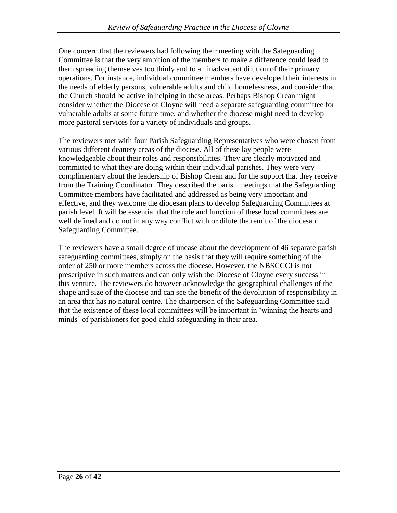One concern that the reviewers had following their meeting with the Safeguarding Committee is that the very ambition of the members to make a difference could lead to them spreading themselves too thinly and to an inadvertent dilution of their primary operations. For instance, individual committee members have developed their interests in the needs of elderly persons, vulnerable adults and child homelessness, and consider that the Church should be active in helping in these areas. Perhaps Bishop Crean might consider whether the Diocese of Cloyne will need a separate safeguarding committee for vulnerable adults at some future time, and whether the diocese might need to develop more pastoral services for a variety of individuals and groups.

The reviewers met with four Parish Safeguarding Representatives who were chosen from various different deanery areas of the diocese. All of these lay people were knowledgeable about their roles and responsibilities. They are clearly motivated and committed to what they are doing within their individual parishes. They were very complimentary about the leadership of Bishop Crean and for the support that they receive from the Training Coordinator. They described the parish meetings that the Safeguarding Committee members have facilitated and addressed as being very important and effective, and they welcome the diocesan plans to develop Safeguarding Committees at parish level. It will be essential that the role and function of these local committees are well defined and do not in any way conflict with or dilute the remit of the diocesan Safeguarding Committee.

The reviewers have a small degree of unease about the development of 46 separate parish safeguarding committees, simply on the basis that they will require something of the order of 250 or more members across the diocese. However, the NBSCCCI is not prescriptive in such matters and can only wish the Diocese of Cloyne every success in this venture. The reviewers do however acknowledge the geographical challenges of the shape and size of the diocese and can see the benefit of the devolution of responsibility in an area that has no natural centre. The chairperson of the Safeguarding Committee said that the existence of these local committees will be important in "winning the hearts and minds" of parishioners for good child safeguarding in their area.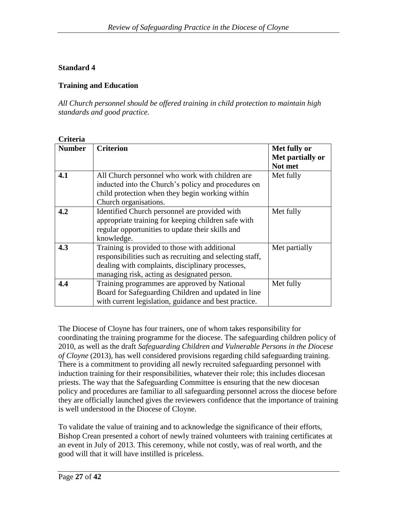## **Standard 4**

## **Training and Education**

*All Church personnel should be offered training in child protection to maintain high standards and good practice.*

| Criteria      |                                                                                                                                                                                                              |                                             |
|---------------|--------------------------------------------------------------------------------------------------------------------------------------------------------------------------------------------------------------|---------------------------------------------|
| <b>Number</b> | <b>Criterion</b>                                                                                                                                                                                             | Met fully or<br>Met partially or<br>Not met |
| 4.1           | All Church personnel who work with children are<br>inducted into the Church's policy and procedures on<br>child protection when they begin working within<br>Church organisations.                           | Met fully                                   |
| 4.2           | Identified Church personnel are provided with<br>appropriate training for keeping children safe with<br>regular opportunities to update their skills and<br>knowledge.                                       | Met fully                                   |
| 4.3           | Training is provided to those with additional<br>responsibilities such as recruiting and selecting staff,<br>dealing with complaints, disciplinary processes,<br>managing risk, acting as designated person. | Met partially                               |
| 4.4           | Training programmes are approved by National<br>Board for Safeguarding Children and updated in line<br>with current legislation, guidance and best practice.                                                 | Met fully                                   |

The Diocese of Cloyne has four trainers, one of whom takes responsibility for coordinating the training programme for the diocese. The safeguarding children policy of 2010, as well as the draft *Safeguarding Children and Vulnerable Persons in the Diocese of Cloyne* (2013), has well considered provisions regarding child safeguarding training. There is a commitment to providing all newly recruited safeguarding personnel with induction training for their responsibilities, whatever their role; this includes diocesan priests. The way that the Safeguarding Committee is ensuring that the new diocesan policy and procedures are familiar to all safeguarding personnel across the diocese before they are officially launched gives the reviewers confidence that the importance of training is well understood in the Diocese of Cloyne.

To validate the value of training and to acknowledge the significance of their efforts, Bishop Crean presented a cohort of newly trained volunteers with training certificates at an event in July of 2013. This ceremony, while not costly, was of real worth, and the good will that it will have instilled is priceless.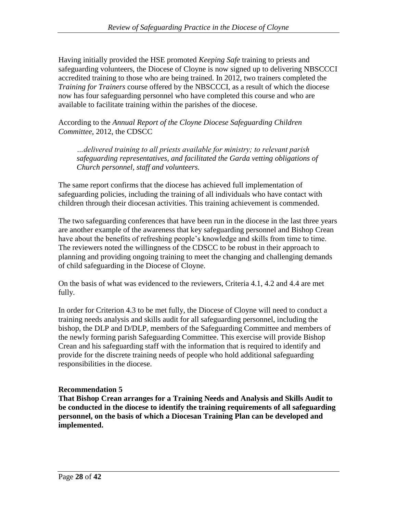Having initially provided the HSE promoted *Keeping Safe* training to priests and safeguarding volunteers, the Diocese of Cloyne is now signed up to delivering NBSCCCI accredited training to those who are being trained. In 2012, two trainers completed the *Training for Trainers* course offered by the NBSCCCI, as a result of which the diocese now has four safeguarding personnel who have completed this course and who are available to facilitate training within the parishes of the diocese.

According to the *Annual Report of the Cloyne Diocese Safeguarding Children Committee*, 2012, the CDSCC

*…delivered training to all priests available for ministry; to relevant parish safeguarding representatives, and facilitated the Garda vetting obligations of Church personnel, staff and volunteers.* 

The same report confirms that the diocese has achieved full implementation of safeguarding policies, including the training of all individuals who have contact with children through their diocesan activities. This training achievement is commended.

The two safeguarding conferences that have been run in the diocese in the last three years are another example of the awareness that key safeguarding personnel and Bishop Crean have about the benefits of refreshing people's knowledge and skills from time to time. The reviewers noted the willingness of the CDSCC to be robust in their approach to planning and providing ongoing training to meet the changing and challenging demands of child safeguarding in the Diocese of Cloyne.

On the basis of what was evidenced to the reviewers, Criteria 4.1, 4.2 and 4.4 are met fully.

In order for Criterion 4.3 to be met fully, the Diocese of Cloyne will need to conduct a training needs analysis and skills audit for all safeguarding personnel, including the bishop, the DLP and D/DLP, members of the Safeguarding Committee and members of the newly forming parish Safeguarding Committee. This exercise will provide Bishop Crean and his safeguarding staff with the information that is required to identify and provide for the discrete training needs of people who hold additional safeguarding responsibilities in the diocese.

## **Recommendation 5**

**That Bishop Crean arranges for a Training Needs and Analysis and Skills Audit to be conducted in the diocese to identify the training requirements of all safeguarding personnel, on the basis of which a Diocesan Training Plan can be developed and implemented.**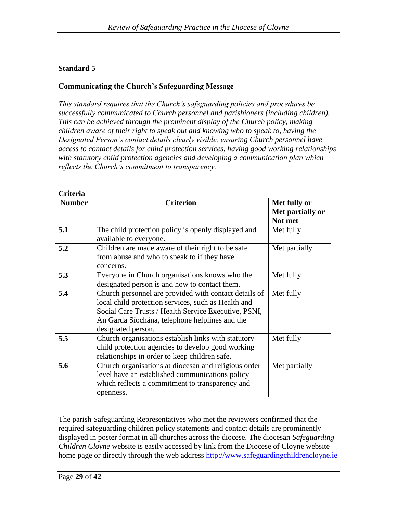## **Standard 5**

**Criteria**

## **Communicating the Church's Safeguarding Message**

*This standard requires that the Church's safeguarding policies and procedures be successfully communicated to Church personnel and parishioners (including children). This can be achieved through the prominent display of the Church policy, making children aware of their right to speak out and knowing who to speak to, having the Designated Person's contact details clearly visible, ensuring Church personnel have access to contact details for child protection services, having good working relationships with statutory child protection agencies and developing a communication plan which reflects the Church's commitment to transparency.*

| <b>Number</b> | <b>Criterion</b>                                                                                                                                                                                                                             | Met fully or     |
|---------------|----------------------------------------------------------------------------------------------------------------------------------------------------------------------------------------------------------------------------------------------|------------------|
|               |                                                                                                                                                                                                                                              | Met partially or |
|               |                                                                                                                                                                                                                                              | Not met          |
| 5.1           | The child protection policy is openly displayed and<br>available to everyone.                                                                                                                                                                | Met fully        |
| 5.2           | Children are made aware of their right to be safe<br>from abuse and who to speak to if they have<br>concerns.                                                                                                                                | Met partially    |
| 5.3           | Everyone in Church organisations knows who the<br>designated person is and how to contact them.                                                                                                                                              | Met fully        |
| 5.4           | Church personnel are provided with contact details of<br>local child protection services, such as Health and<br>Social Care Trusts / Health Service Executive, PSNI,<br>An Garda Síochána, telephone helplines and the<br>designated person. | Met fully        |
| 5.5           | Church organisations establish links with statutory<br>child protection agencies to develop good working<br>relationships in order to keep children safe.                                                                                    | Met fully        |
| 5.6           | Church organisations at diocesan and religious order<br>level have an established communications policy<br>which reflects a commitment to transparency and<br>openness.                                                                      | Met partially    |

The parish Safeguarding Representatives who met the reviewers confirmed that the required safeguarding children policy statements and contact details are prominently displayed in poster format in all churches across the diocese. The diocesan *Safeguarding Children Cloyne* website is easily accessed by link from the Diocese of Cloyne website home page or directly through the web address [http://www.safeguardingchildrencloyne.ie](http://www.safeguardingchildrencloyne.ie/)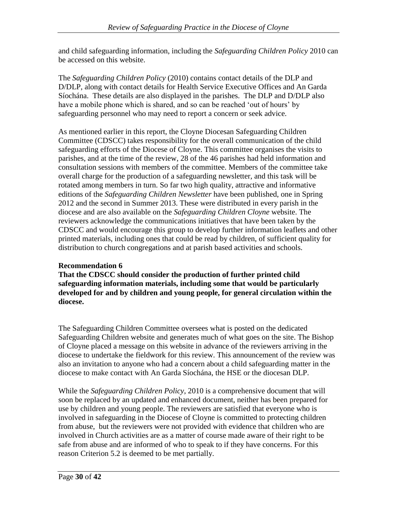and child safeguarding information, including the *Safeguarding Children Policy* 2010 can be accessed on this website.

The *Safeguarding Children Policy* (2010) contains contact details of the DLP and D/DLP, along with contact details for Health Service Executive Offices and An Garda Síochána. These details are also displayed in the parishes. The DLP and D/DLP also have a mobile phone which is shared, and so can be reached 'out of hours' by safeguarding personnel who may need to report a concern or seek advice.

As mentioned earlier in this report, the Cloyne Diocesan Safeguarding Children Committee (CDSCC) takes responsibility for the overall communication of the child safeguarding efforts of the Diocese of Cloyne. This committee organises the visits to parishes, and at the time of the review, 28 of the 46 parishes had held information and consultation sessions with members of the committee. Members of the committee take overall charge for the production of a safeguarding newsletter, and this task will be rotated among members in turn. So far two high quality, attractive and informative editions of the *Safeguarding Children Newsletter* have been published, one in Spring 2012 and the second in Summer 2013. These were distributed in every parish in the diocese and are also available on the *Safeguarding Children Cloyne* website. The reviewers acknowledge the communications initiatives that have been taken by the CDSCC and would encourage this group to develop further information leaflets and other printed materials, including ones that could be read by children, of sufficient quality for distribution to church congregations and at parish based activities and schools.

## **Recommendation 6**

**That the CDSCC should consider the production of further printed child safeguarding information materials, including some that would be particularly developed for and by children and young people, for general circulation within the diocese.**

The Safeguarding Children Committee oversees what is posted on the dedicated Safeguarding Children website and generates much of what goes on the site. The Bishop of Cloyne placed a message on this website in advance of the reviewers arriving in the diocese to undertake the fieldwork for this review. This announcement of the review was also an invitation to anyone who had a concern about a child safeguarding matter in the diocese to make contact with An Garda Síochána, the HSE or the diocesan DLP.

While the *Safeguarding Children Policy*, 2010 is a comprehensive document that will soon be replaced by an updated and enhanced document, neither has been prepared for use by children and young people. The reviewers are satisfied that everyone who is involved in safeguarding in the Diocese of Cloyne is committed to protecting children from abuse, but the reviewers were not provided with evidence that children who are involved in Church activities are as a matter of course made aware of their right to be safe from abuse and are informed of who to speak to if they have concerns. For this reason Criterion 5.2 is deemed to be met partially.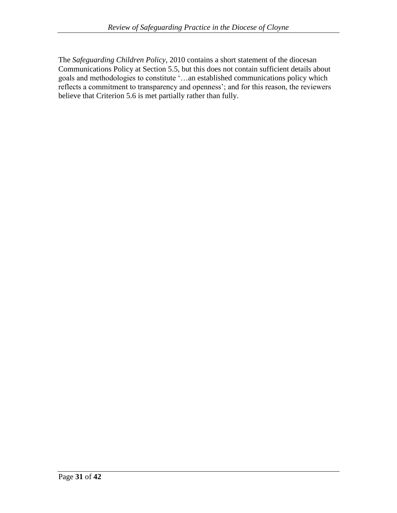The *Safeguarding Children Policy*, 2010 contains a short statement of the diocesan Communications Policy at Section 5.5, but this does not contain sufficient details about goals and methodologies to constitute "…an established communications policy which reflects a commitment to transparency and openness'; and for this reason, the reviewers believe that Criterion 5.6 is met partially rather than fully.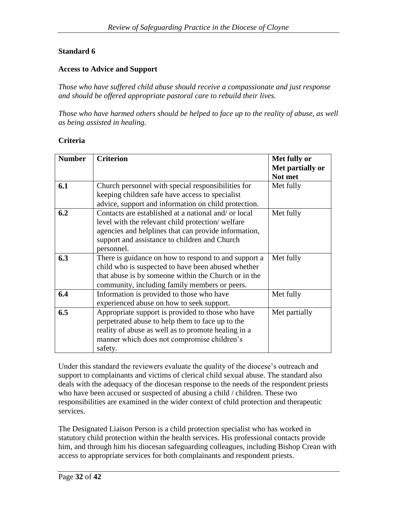## **Standard 6**

#### **Access to Advice and Support**

*Those who have suffered child abuse should receive a compassionate and just response and should be offered appropriate pastoral care to rebuild their lives.*

*Those who have harmed others should be helped to face up to the reality of abuse, as well as being assisted in healing.*

#### **Criteria**

| <b>Number</b> | <b>Criterion</b>                                                                                                                                                                                                                | Met fully or<br>Met partially or<br>Not met |
|---------------|---------------------------------------------------------------------------------------------------------------------------------------------------------------------------------------------------------------------------------|---------------------------------------------|
| 6.1           | Church personnel with special responsibilities for<br>keeping children safe have access to specialist                                                                                                                           | Met fully                                   |
|               | advice, support and information on child protection.                                                                                                                                                                            |                                             |
| 6.2           | Contacts are established at a national and/ or local<br>level with the relevant child protection/welfare<br>agencies and helplines that can provide information,<br>support and assistance to children and Church<br>personnel. | Met fully                                   |
| 6.3           | There is guidance on how to respond to and support a<br>child who is suspected to have been abused whether<br>that abuse is by someone within the Church or in the<br>community, including family members or peers.             | Met fully                                   |
| 6.4           | Information is provided to those who have<br>experienced abuse on how to seek support.                                                                                                                                          | Met fully                                   |
| 6.5           | Appropriate support is provided to those who have<br>perpetrated abuse to help them to face up to the<br>reality of abuse as well as to promote healing in a<br>manner which does not compromise children's<br>safety.          | Met partially                               |

Under this standard the reviewers evaluate the quality of the diocese"s outreach and support to complainants and victims of clerical child sexual abuse. The standard also deals with the adequacy of the diocesan response to the needs of the respondent priests who have been accused or suspected of abusing a child / children. These two responsibilities are examined in the wider context of child protection and therapeutic services.

The Designated Liaison Person is a child protection specialist who has worked in statutory child protection within the health services. His professional contacts provide him, and through him his diocesan safeguarding colleagues, including Bishop Crean with access to appropriate services for both complainants and respondent priests.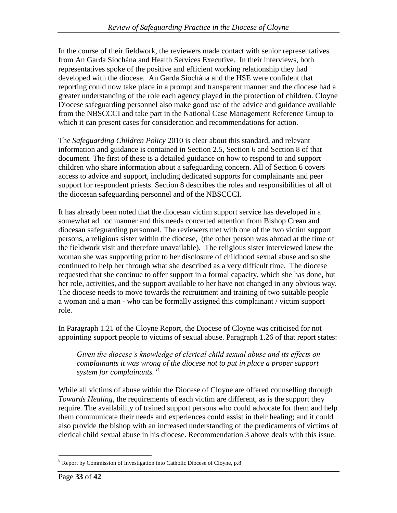In the course of their fieldwork, the reviewers made contact with senior representatives from An Garda Síochána and Health Services Executive. In their interviews, both representatives spoke of the positive and efficient working relationship they had developed with the diocese. An Garda Síochána and the HSE were confident that reporting could now take place in a prompt and transparent manner and the diocese had a greater understanding of the role each agency played in the protection of children. Cloyne Diocese safeguarding personnel also make good use of the advice and guidance available from the NBSCCCI and take part in the National Case Management Reference Group to which it can present cases for consideration and recommendations for action.

The *Safeguarding Children Policy* 2010 is clear about this standard, and relevant information and guidance is contained in Section 2.5, Section 6 and Section 8 of that document. The first of these is a detailed guidance on how to respond to and support children who share information about a safeguarding concern. All of Section 6 covers access to advice and support, including dedicated supports for complainants and peer support for respondent priests. Section 8 describes the roles and responsibilities of all of the diocesan safeguarding personnel and of the NBSCCCI.

It has already been noted that the diocesan victim support service has developed in a somewhat ad hoc manner and this needs concerted attention from Bishop Crean and diocesan safeguarding personnel. The reviewers met with one of the two victim support persons, a religious sister within the diocese, (the other person was abroad at the time of the fieldwork visit and therefore unavailable). The religious sister interviewed knew the woman she was supporting prior to her disclosure of childhood sexual abuse and so she continued to help her through what she described as a very difficult time. The diocese requested that she continue to offer support in a formal capacity, which she has done, but her role, activities, and the support available to her have not changed in any obvious way. The diocese needs to move towards the recruitment and training of two suitable people – a woman and a man - who can be formally assigned this complainant / victim support role.

In Paragraph 1.21 of the Cloyne Report, the Diocese of Cloyne was criticised for not appointing support people to victims of sexual abuse. Paragraph 1.26 of that report states:

*Given the diocese's knowledge of clerical child sexual abuse and its effects on complainants it was wrong of the diocese not to put in place a proper support system for complainants. <sup>8</sup>*

While all victims of abuse within the Diocese of Cloyne are offered counselling through *Towards Healing*, the requirements of each victim are different, as is the support they require. The availability of trained support persons who could advocate for them and help them communicate their needs and experiences could assist in their healing; and it could also provide the bishop with an increased understanding of the predicaments of victims of clerical child sexual abuse in his diocese. Recommendation 3 above deals with this issue.

<sup>&</sup>lt;sup>8</sup> Report by Commission of Investigation into Catholic Diocese of Cloyne, p.8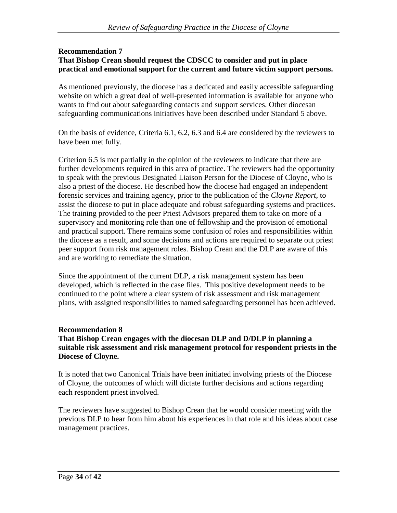#### **Recommendation 7 That Bishop Crean should request the CDSCC to consider and put in place practical and emotional support for the current and future victim support persons.**

As mentioned previously, the diocese has a dedicated and easily accessible safeguarding website on which a great deal of well-presented information is available for anyone who wants to find out about safeguarding contacts and support services. Other diocesan safeguarding communications initiatives have been described under Standard 5 above.

On the basis of evidence, Criteria 6.1, 6.2, 6.3 and 6.4 are considered by the reviewers to have been met fully.

Criterion 6.5 is met partially in the opinion of the reviewers to indicate that there are further developments required in this area of practice. The reviewers had the opportunity to speak with the previous Designated Liaison Person for the Diocese of Cloyne, who is also a priest of the diocese. He described how the diocese had engaged an independent forensic services and training agency, prior to the publication of the *Cloyne Report*, to assist the diocese to put in place adequate and robust safeguarding systems and practices. The training provided to the peer Priest Advisors prepared them to take on more of a supervisory and monitoring role than one of fellowship and the provision of emotional and practical support. There remains some confusion of roles and responsibilities within the diocese as a result, and some decisions and actions are required to separate out priest peer support from risk management roles. Bishop Crean and the DLP are aware of this and are working to remediate the situation.

Since the appointment of the current DLP, a risk management system has been developed, which is reflected in the case files. This positive development needs to be continued to the point where a clear system of risk assessment and risk management plans, with assigned responsibilities to named safeguarding personnel has been achieved.

## **Recommendation 8**

## **That Bishop Crean engages with the diocesan DLP and D/DLP in planning a suitable risk assessment and risk management protocol for respondent priests in the Diocese of Cloyne.**

It is noted that two Canonical Trials have been initiated involving priests of the Diocese of Cloyne, the outcomes of which will dictate further decisions and actions regarding each respondent priest involved.

The reviewers have suggested to Bishop Crean that he would consider meeting with the previous DLP to hear from him about his experiences in that role and his ideas about case management practices.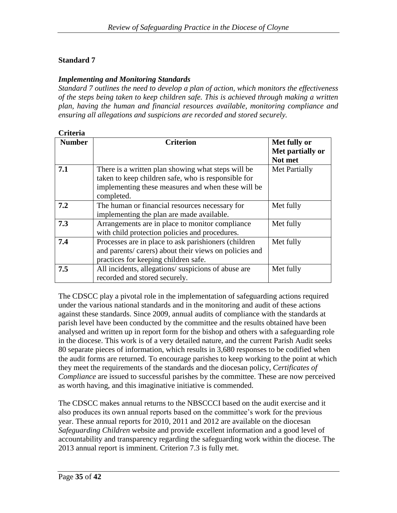## **Standard 7**

## *Implementing and Monitoring Standards*

*Standard 7 outlines the need to develop a plan of action, which monitors the effectiveness of the steps being taken to keep children safe. This is achieved through making a written plan, having the human and financial resources available, monitoring compliance and ensuring all allegations and suspicions are recorded and stored securely.*

| Criteria |  |
|----------|--|
|          |  |

| <b>Number</b> | <b>Criterion</b>                                      | Met fully or     |
|---------------|-------------------------------------------------------|------------------|
|               |                                                       | Met partially or |
|               |                                                       | Not met          |
|               |                                                       |                  |
| 7.1           | There is a written plan showing what steps will be    | Met Partially    |
|               | taken to keep children safe, who is responsible for   |                  |
|               | implementing these measures and when these will be    |                  |
|               | completed.                                            |                  |
| 7.2           | The human or financial resources necessary for        | Met fully        |
|               | implementing the plan are made available.             |                  |
| 7.3           | Arrangements are in place to monitor compliance       | Met fully        |
|               | with child protection policies and procedures.        |                  |
| 7.4           | Processes are in place to ask parishioners (children  | Met fully        |
|               | and parents/carers) about their views on policies and |                  |
|               | practices for keeping children safe.                  |                  |
| 7.5           | All incidents, allegations/suspicions of abuse are    | Met fully        |
|               | recorded and stored securely.                         |                  |

The CDSCC play a pivotal role in the implementation of safeguarding actions required under the various national standards and in the monitoring and audit of these actions against these standards. Since 2009, annual audits of compliance with the standards at parish level have been conducted by the committee and the results obtained have been analysed and written up in report form for the bishop and others with a safeguarding role in the diocese. This work is of a very detailed nature, and the current Parish Audit seeks 80 separate pieces of information, which results in 3,680 responses to be codified when the audit forms are returned. To encourage parishes to keep working to the point at which they meet the requirements of the standards and the diocesan policy, *Certificates of Compliance* are issued to successful parishes by the committee. These are now perceived as worth having, and this imaginative initiative is commended.

The CDSCC makes annual returns to the NBSCCCI based on the audit exercise and it also produces its own annual reports based on the committee"s work for the previous year. These annual reports for 2010, 2011 and 2012 are available on the diocesan *Safeguarding Children* website and provide excellent information and a good level of accountability and transparency regarding the safeguarding work within the diocese. The 2013 annual report is imminent. Criterion 7.3 is fully met.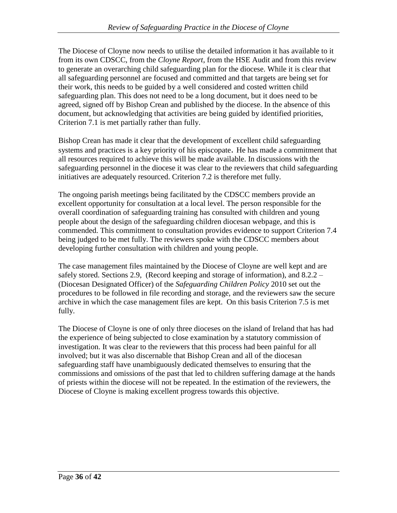The Diocese of Cloyne now needs to utilise the detailed information it has available to it from its own CDSCC, from the *Cloyne Report*, from the HSE Audit and from this review to generate an overarching child safeguarding plan for the diocese. While it is clear that all safeguarding personnel are focused and committed and that targets are being set for their work, this needs to be guided by a well considered and costed written child safeguarding plan. This does not need to be a long document, but it does need to be agreed, signed off by Bishop Crean and published by the diocese. In the absence of this document, but acknowledging that activities are being guided by identified priorities, Criterion 7.1 is met partially rather than fully.

Bishop Crean has made it clear that the development of excellent child safeguarding systems and practices is a key priority of his episcopate. He has made a commitment that all resources required to achieve this will be made available. In discussions with the safeguarding personnel in the diocese it was clear to the reviewers that child safeguarding initiatives are adequately resourced. Criterion 7.2 is therefore met fully.

The ongoing parish meetings being facilitated by the CDSCC members provide an excellent opportunity for consultation at a local level. The person responsible for the overall coordination of safeguarding training has consulted with children and young people about the design of the safeguarding children diocesan webpage, and this is commended. This commitment to consultation provides evidence to support Criterion 7.4 being judged to be met fully. The reviewers spoke with the CDSCC members about developing further consultation with children and young people.

The case management files maintained by the Diocese of Cloyne are well kept and are safely stored. Sections 2.9, (Record keeping and storage of information), and 8.2.2 – (Diocesan Designated Officer) of the *Safeguarding Children Policy* 2010 set out the procedures to be followed in file recording and storage, and the reviewers saw the secure archive in which the case management files are kept. On this basis Criterion 7.5 is met fully.

The Diocese of Cloyne is one of only three dioceses on the island of Ireland that has had the experience of being subjected to close examination by a statutory commission of investigation. It was clear to the reviewers that this process had been painful for all involved; but it was also discernable that Bishop Crean and all of the diocesan safeguarding staff have unambiguously dedicated themselves to ensuring that the commissions and omissions of the past that led to children suffering damage at the hands of priests within the diocese will not be repeated. In the estimation of the reviewers, the Diocese of Cloyne is making excellent progress towards this objective.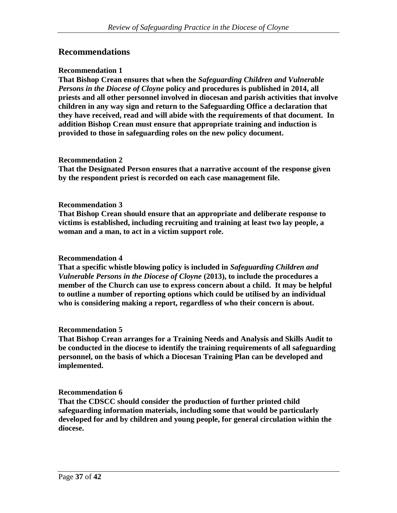## **Recommendations**

#### **Recommendation 1**

**That Bishop Crean ensures that when the** *Safeguarding Children and Vulnerable Persons in the Diocese of Cloyne* **policy and procedures is published in 2014, all priests and all other personnel involved in diocesan and parish activities that involve children in any way sign and return to the Safeguarding Office a declaration that they have received, read and will abide with the requirements of that document. In addition Bishop Crean must ensure that appropriate training and induction is provided to those in safeguarding roles on the new policy document.**

#### **Recommendation 2**

**That the Designated Person ensures that a narrative account of the response given by the respondent priest is recorded on each case management file.** 

#### **Recommendation 3**

**That Bishop Crean should ensure that an appropriate and deliberate response to victims is established, including recruiting and training at least two lay people, a woman and a man, to act in a victim support role.** 

#### **Recommendation 4**

**That a specific whistle blowing policy is included in** *Safeguarding Children and Vulnerable Persons in the Diocese of Cloyne* **(2013), to include the procedures a member of the Church can use to express concern about a child. It may be helpful to outline a number of reporting options which could be utilised by an individual who is considering making a report, regardless of who their concern is about.** 

#### **Recommendation 5**

**That Bishop Crean arranges for a Training Needs and Analysis and Skills Audit to be conducted in the diocese to identify the training requirements of all safeguarding personnel, on the basis of which a Diocesan Training Plan can be developed and implemented.**

#### **Recommendation 6**

**That the CDSCC should consider the production of further printed child safeguarding information materials, including some that would be particularly developed for and by children and young people, for general circulation within the diocese.**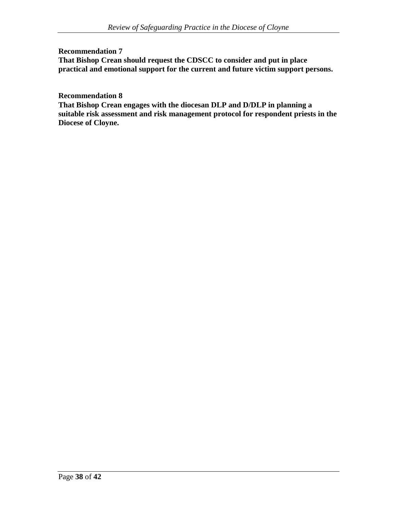#### **Recommendation 7 That Bishop Crean should request the CDSCC to consider and put in place practical and emotional support for the current and future victim support persons.**

**Recommendation 8** 

**That Bishop Crean engages with the diocesan DLP and D/DLP in planning a suitable risk assessment and risk management protocol for respondent priests in the Diocese of Cloyne.**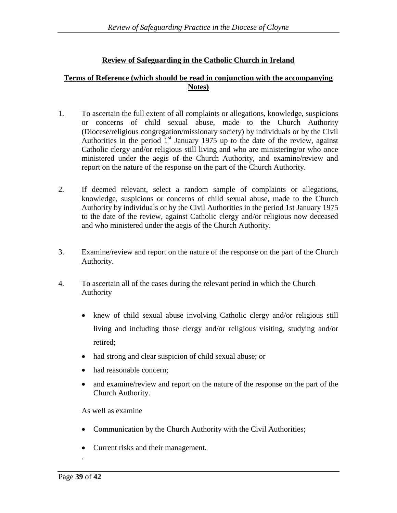## **Review of Safeguarding in the Catholic Church in Ireland**

#### **Terms of Reference (which should be read in conjunction with the accompanying Notes)**

- 1. To ascertain the full extent of all complaints or allegations, knowledge, suspicions or concerns of child sexual abuse, made to the Church Authority (Diocese/religious congregation/missionary society) by individuals or by the Civil Authorities in the period  $1<sup>st</sup>$  January 1975 up to the date of the review, against Catholic clergy and/or religious still living and who are ministering/or who once ministered under the aegis of the Church Authority, and examine/review and report on the nature of the response on the part of the Church Authority.
- 2. If deemed relevant, select a random sample of complaints or allegations, knowledge, suspicions or concerns of child sexual abuse, made to the Church Authority by individuals or by the Civil Authorities in the period 1st January 1975 to the date of the review, against Catholic clergy and/or religious now deceased and who ministered under the aegis of the Church Authority.
- 3. Examine/review and report on the nature of the response on the part of the Church Authority.
- 4. To ascertain all of the cases during the relevant period in which the Church Authority
	- knew of child sexual abuse involving Catholic clergy and/or religious still living and including those clergy and/or religious visiting, studying and/or retired;
	- had strong and clear suspicion of child sexual abuse; or
	- had reasonable concern;
	- and examine/review and report on the nature of the response on the part of the Church Authority.

As well as examine

- Communication by the Church Authority with the Civil Authorities;
- Current risks and their management.

.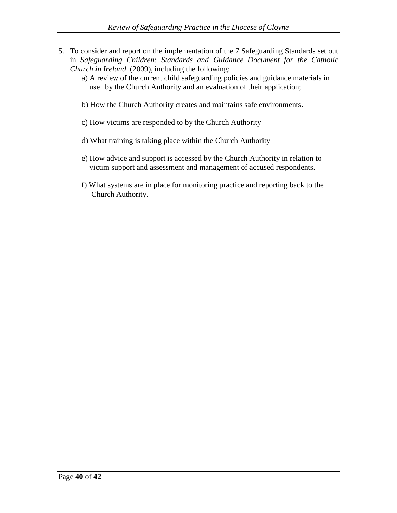- 5. To consider and report on the implementation of the 7 Safeguarding Standards set out in *Safeguarding Children: Standards and Guidance Document for the Catholic Church in Ireland* (2009), including the following:
	- a) A review of the current child safeguarding policies and guidance materials in use by the Church Authority and an evaluation of their application;
	- b) How the Church Authority creates and maintains safe environments.
	- c) How victims are responded to by the Church Authority
	- d) What training is taking place within the Church Authority
	- e) How advice and support is accessed by the Church Authority in relation to victim support and assessment and management of accused respondents.
	- f) What systems are in place for monitoring practice and reporting back to the Church Authority.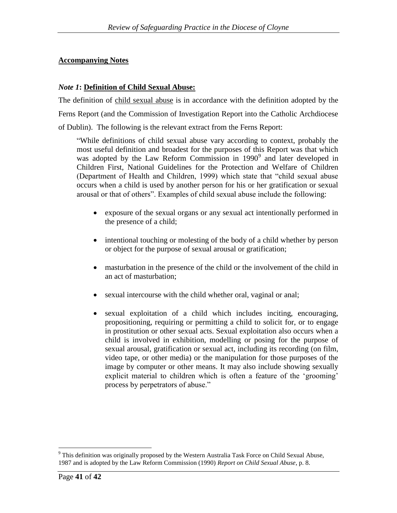## **Accompanying Notes**

## *Note 1***: Definition of Child Sexual Abuse:**

The definition of child sexual abuse is in accordance with the definition adopted by the Ferns Report (and the Commission of Investigation Report into the Catholic Archdiocese of Dublin). The following is the relevant extract from the Ferns Report:

"While definitions of child sexual abuse vary according to context, probably the most useful definition and broadest for the purposes of this Report was that which was adopted by the Law Reform Commission in 1990<sup>9</sup> and later developed in Children First, National Guidelines for the Protection and Welfare of Children (Department of Health and Children, 1999) which state that "child sexual abuse occurs when a child is used by another person for his or her gratification or sexual arousal or that of others". Examples of child sexual abuse include the following:

- exposure of the sexual organs or any sexual act intentionally performed in the presence of a child;
- intentional touching or molesting of the body of a child whether by person or object for the purpose of sexual arousal or gratification;
- masturbation in the presence of the child or the involvement of the child in an act of masturbation;
- sexual intercourse with the child whether oral, vaginal or anal;
- sexual exploitation of a child which includes inciting, encouraging, propositioning, requiring or permitting a child to solicit for, or to engage in prostitution or other sexual acts. Sexual exploitation also occurs when a child is involved in exhibition, modelling or posing for the purpose of sexual arousal, gratification or sexual act, including its recording (on film, video tape, or other media) or the manipulation for those purposes of the image by computer or other means. It may also include showing sexually explicit material to children which is often a feature of the 'grooming' process by perpetrators of abuse."

<sup>&</sup>lt;sup>9</sup> This definition was originally proposed by the Western Australia Task Force on Child Sexual Abuse, 1987 and is adopted by the Law Reform Commission (1990) *Report on Child Sexual Abuse*, p. 8.